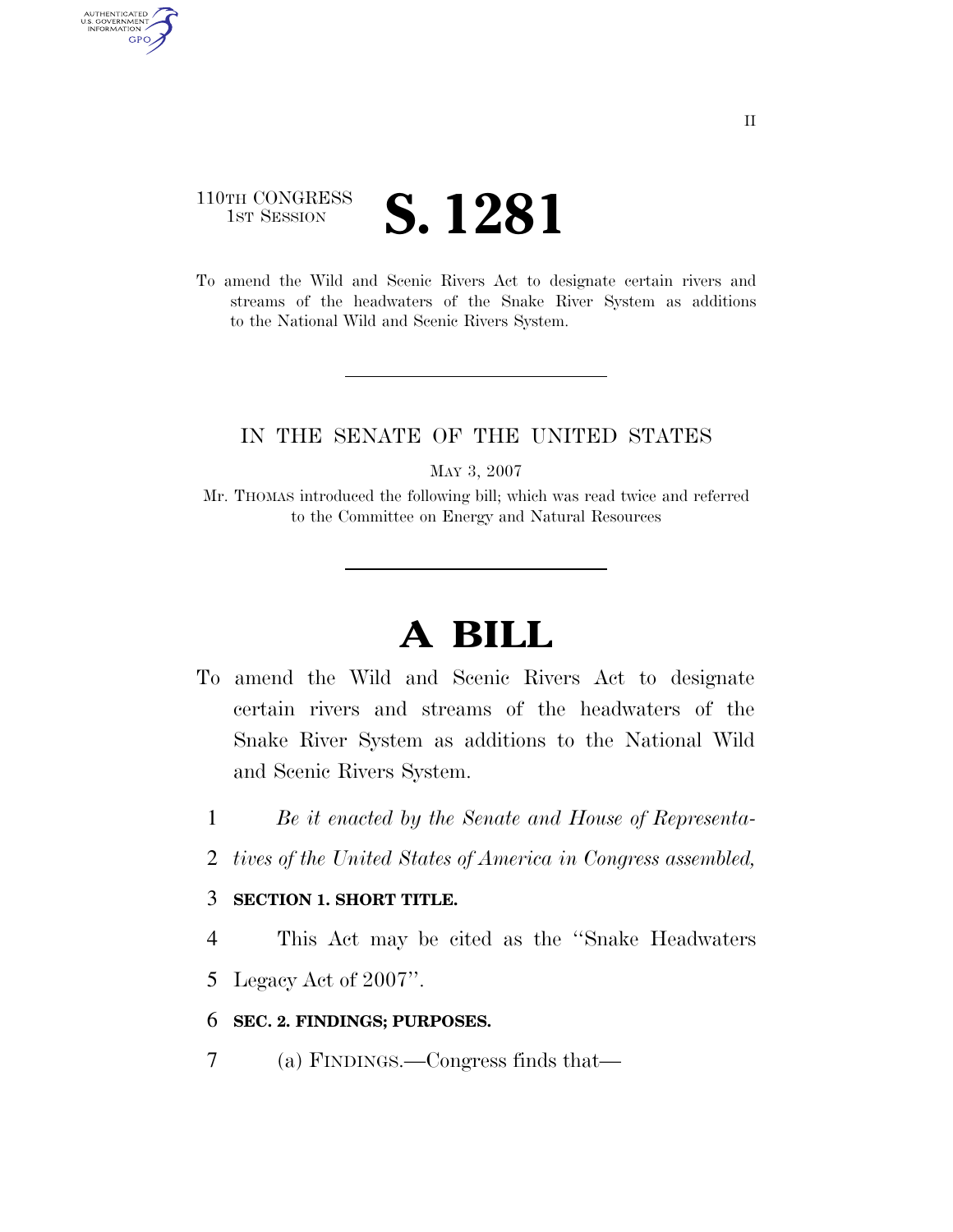## 110TH CONGRESS **IST SESSION S. 1281**

AUTHENTICATED U.S. GOVERNMENT GPO

> To amend the Wild and Scenic Rivers Act to designate certain rivers and streams of the headwaters of the Snake River System as additions to the National Wild and Scenic Rivers System.

### IN THE SENATE OF THE UNITED STATES

MAY 3, 2007

Mr. THOMAS introduced the following bill; which was read twice and referred to the Committee on Energy and Natural Resources

# **A BILL**

- To amend the Wild and Scenic Rivers Act to designate certain rivers and streams of the headwaters of the Snake River System as additions to the National Wild and Scenic Rivers System.
	- 1 *Be it enacted by the Senate and House of Representa-*
	- 2 *tives of the United States of America in Congress assembled,*

#### 3 **SECTION 1. SHORT TITLE.**

4 This Act may be cited as the ''Snake Headwaters

5 Legacy Act of 2007''.

#### 6 **SEC. 2. FINDINGS; PURPOSES.**

7 (a) FINDINGS.—Congress finds that—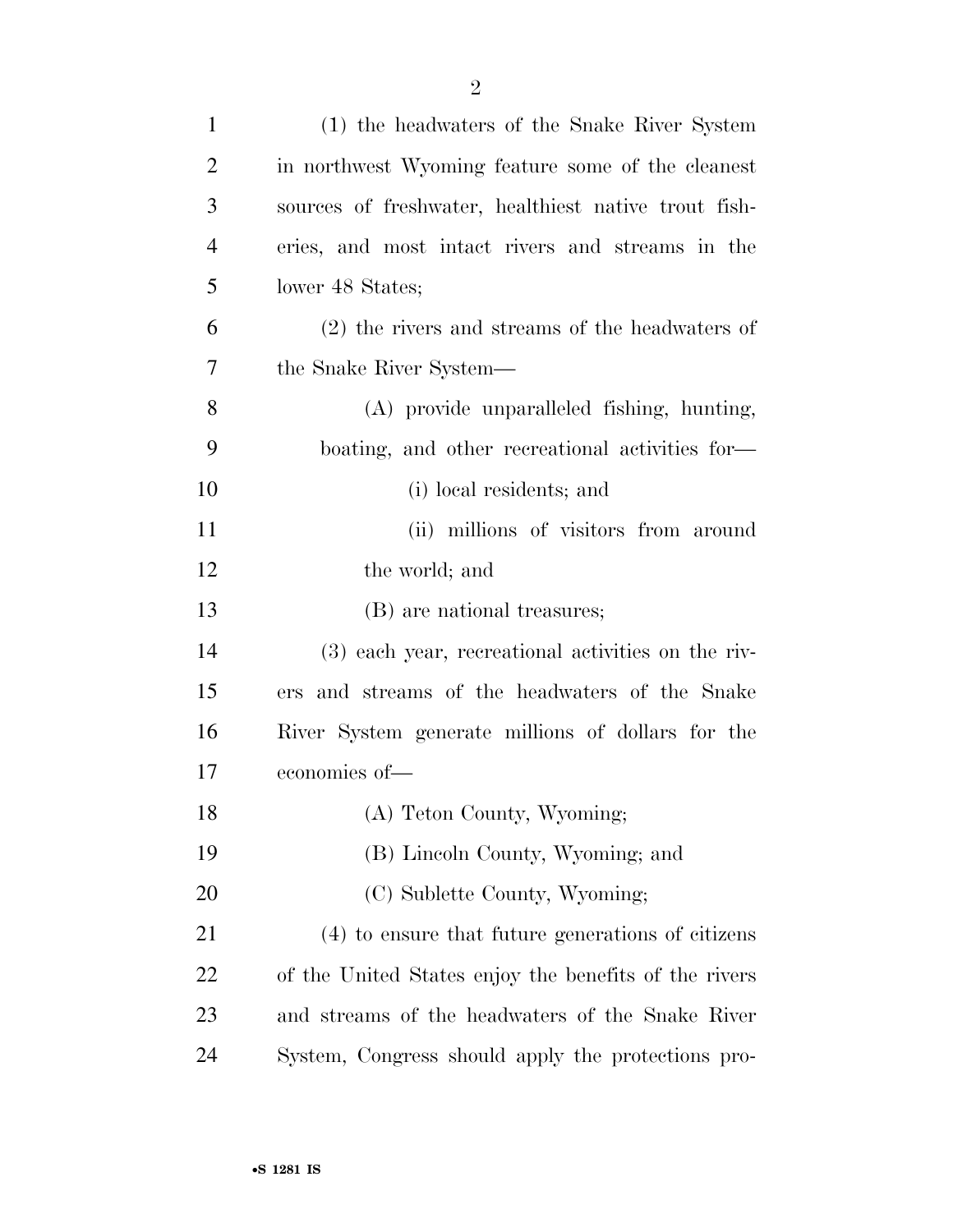| $\mathbf{1}$   | (1) the headwaters of the Snake River System          |
|----------------|-------------------------------------------------------|
| $\overline{2}$ | in northwest Wyoming feature some of the cleanest     |
| 3              | sources of freshwater, healthiest native trout fish-  |
| $\overline{4}$ | eries, and most intact rivers and streams in the      |
| 5              | lower 48 States;                                      |
| 6              | $(2)$ the rivers and streams of the headwaters of     |
| 7              | the Snake River System—                               |
| 8              | (A) provide unparalleled fishing, hunting,            |
| 9              | boating, and other recreational activities for-       |
| 10             | (i) local residents; and                              |
| 11             | (ii) millions of visitors from around                 |
| 12             | the world; and                                        |
| 13             | (B) are national treasures;                           |
| 14             | (3) each year, recreational activities on the riv-    |
| 15             | ers and streams of the headwaters of the Snake        |
| 16             | River System generate millions of dollars for the     |
| 17             | economies of-                                         |
| 18             | (A) Teton County, Wyoming;                            |
| 19             | (B) Lincoln County, Wyoming; and                      |
| 20             | (C) Sublette County, Wyoming;                         |
| 21             | (4) to ensure that future generations of citizens     |
| 22             | of the United States enjoy the benefits of the rivers |
| 23             | and streams of the headwaters of the Snake River      |
| 24             | System, Congress should apply the protections pro-    |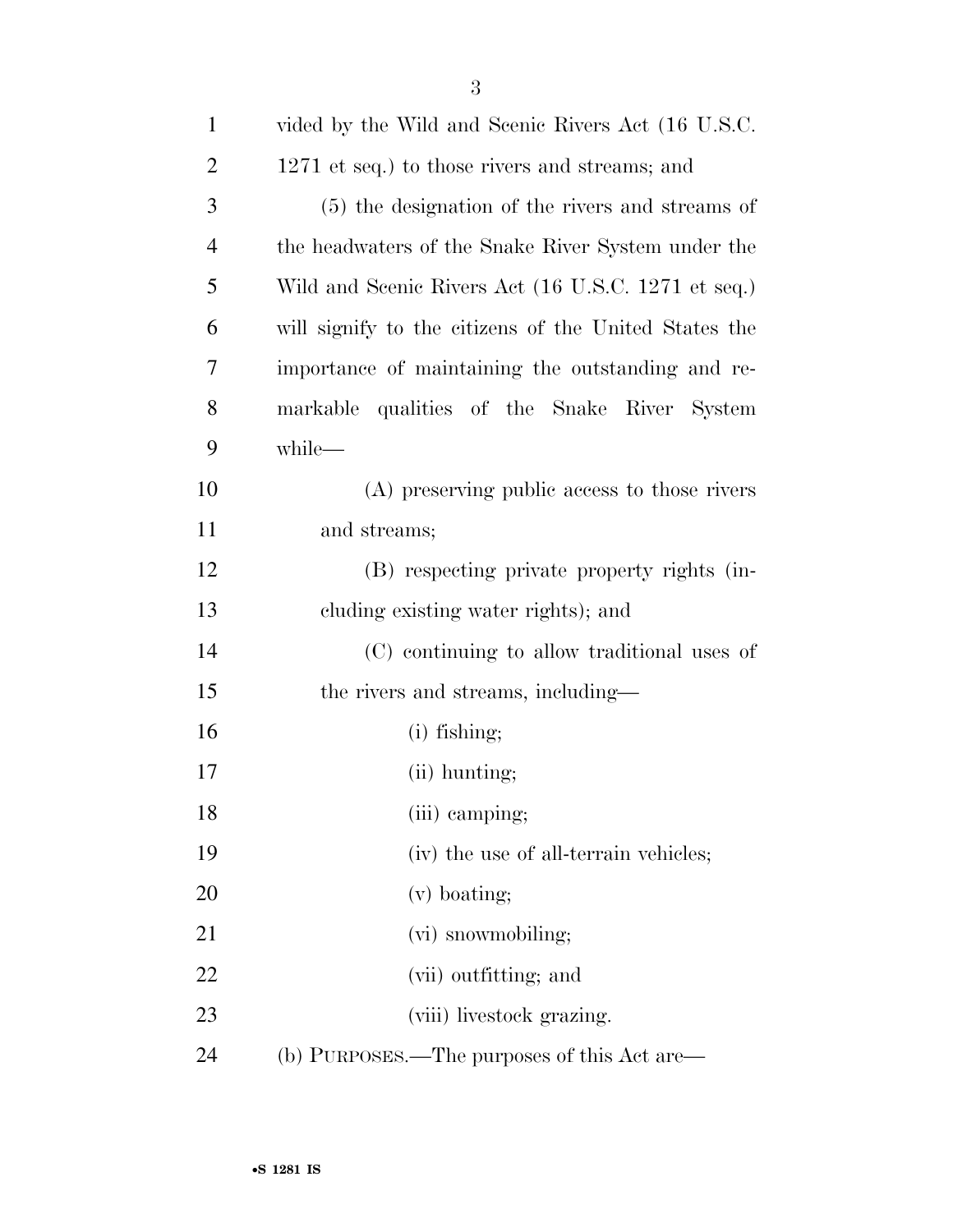| $\mathbf{1}$   | vided by the Wild and Scenic Rivers Act (16 U.S.C.)   |
|----------------|-------------------------------------------------------|
| $\overline{2}$ | 1271 et seq.) to those rivers and streams; and        |
| 3              | (5) the designation of the rivers and streams of      |
| $\overline{4}$ | the headwaters of the Snake River System under the    |
| 5              | Wild and Scenic Rivers Act (16 U.S.C. 1271 et seq.)   |
| 6              | will signify to the citizens of the United States the |
| 7              | importance of maintaining the outstanding and re-     |
| 8              | markable qualities of the Snake River System          |
| 9              | while-                                                |
| 10             | (A) preserving public access to those rivers          |
| 11             | and streams;                                          |
| 12             | (B) respecting private property rights (in-           |
| 13             | cluding existing water rights); and                   |
| 14             | (C) continuing to allow traditional uses of           |
| 15             | the rivers and streams, including—                    |
| 16             | $(i)$ fishing;                                        |
| 17             | (ii) hunting;                                         |
| 18             | (iii) camping;                                        |
| 19             | (iv) the use of all-terrain vehicles;                 |
| 20             | $(v)$ boating;                                        |
| 21             | (vi) snowmobiling;                                    |
| 22             | (vii) outfitting; and                                 |
| 23             | (viii) livestock grazing.                             |
| 24             | (b) PURPOSES.—The purposes of this Act are—           |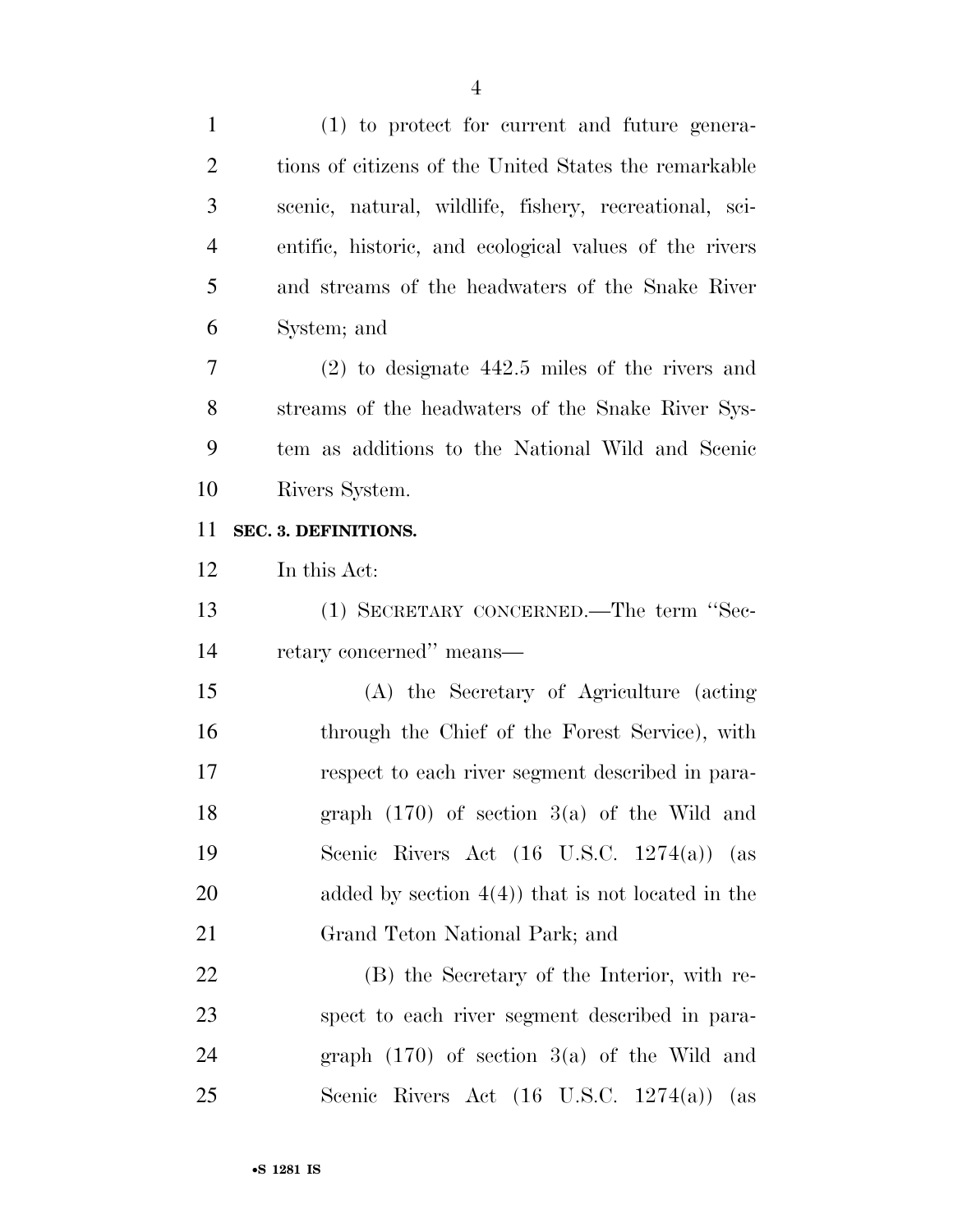| $\mathbf{1}$   | $(1)$ to protect for current and future genera-         |
|----------------|---------------------------------------------------------|
| $\overline{2}$ | tions of citizens of the United States the remarkable   |
| 3              | scenic, natural, wildlife, fishery, recreational, sci-  |
| $\overline{4}$ | entific, historic, and ecological values of the rivers  |
| 5              | and streams of the headwaters of the Snake River        |
| 6              | System; and                                             |
| $\overline{7}$ | $(2)$ to designate 442.5 miles of the rivers and        |
| 8              | streams of the headwaters of the Snake River Sys-       |
| 9              | tem as additions to the National Wild and Scenic        |
| 10             | Rivers System.                                          |
| 11             | SEC. 3. DEFINITIONS.                                    |
| 12             | In this Act:                                            |
| 13             | (1) SECRETARY CONCERNED.—The term "Sec-                 |
| 14             | retary concerned" means—                                |
| 15             | (A) the Secretary of Agriculture (acting                |
| 16             | through the Chief of the Forest Service), with          |
| 17             | respect to each river segment described in para-        |
| 18             | graph $(170)$ of section $3(a)$ of the Wild and         |
| 19             | Scenic Rivers Act $(16 \text{ U.S.C. } 1274(a))$<br>(as |
| <b>20</b>      | added by section $4(4)$ ) that is not located in the    |
| 21             | Grand Teton National Park; and                          |
| 22             | (B) the Secretary of the Interior, with re-             |
| 23             | spect to each river segment described in para-          |
| 24             | graph $(170)$ of section $3(a)$ of the Wild and         |
| 25             | Scenic Rivers Act $(16 \text{ U.S.C. } 1274(a))$ (as    |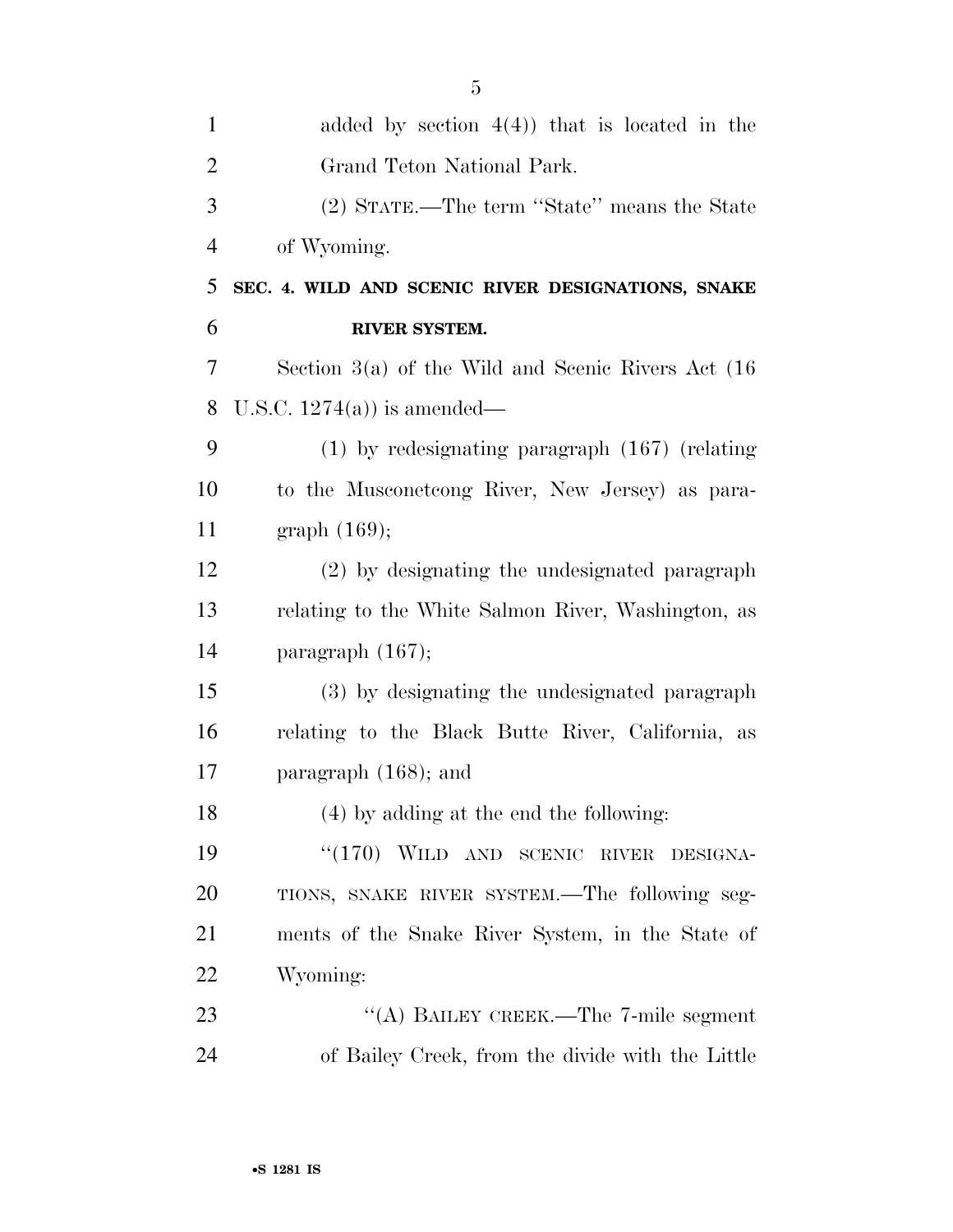| $\mathbf{1}$   | added by section $4(4)$ ) that is located in the        |
|----------------|---------------------------------------------------------|
| $\overline{2}$ | Grand Teton National Park.                              |
| 3              | (2) STATE.—The term "State" means the State             |
| $\overline{4}$ | of Wyoming.                                             |
| 5              | SEC. 4. WILD AND SCENIC RIVER DESIGNATIONS, SNAKE       |
| 6              | RIVER SYSTEM.                                           |
| 7              | Section $3(a)$ of the Wild and Scenic Rivers Act $(16)$ |
| 8              | U.S.C. $1274(a)$ is amended—                            |
| 9              | $(1)$ by redesignating paragraph $(167)$ (relating      |
| 10             | to the Musconetcong River, New Jersey) as para-         |
| 11             | graph $(169)$ ;                                         |
| 12             | (2) by designating the undesignated paragraph           |
| 13             | relating to the White Salmon River, Washington, as      |
| 14             | paragraph $(167);$                                      |
| 15             | (3) by designating the undesignated paragraph           |
| 16             | relating to the Black Butte River, California, as       |
| 17             | paragraph $(168)$ ; and                                 |
| 18             | $(4)$ by adding at the end the following:               |
| 19             | "(170) WILD AND SCENIC RIVER<br>DESIGNA-                |
| 20             | TIONS, SNAKE RIVER SYSTEM.—The following seg-           |
| 21             | ments of the Snake River System, in the State of        |
| 22             | Wyoming:                                                |
| 23             | "(A) BAILEY CREEK.—The 7-mile segment                   |
| 24             | of Bailey Creek, from the divide with the Little        |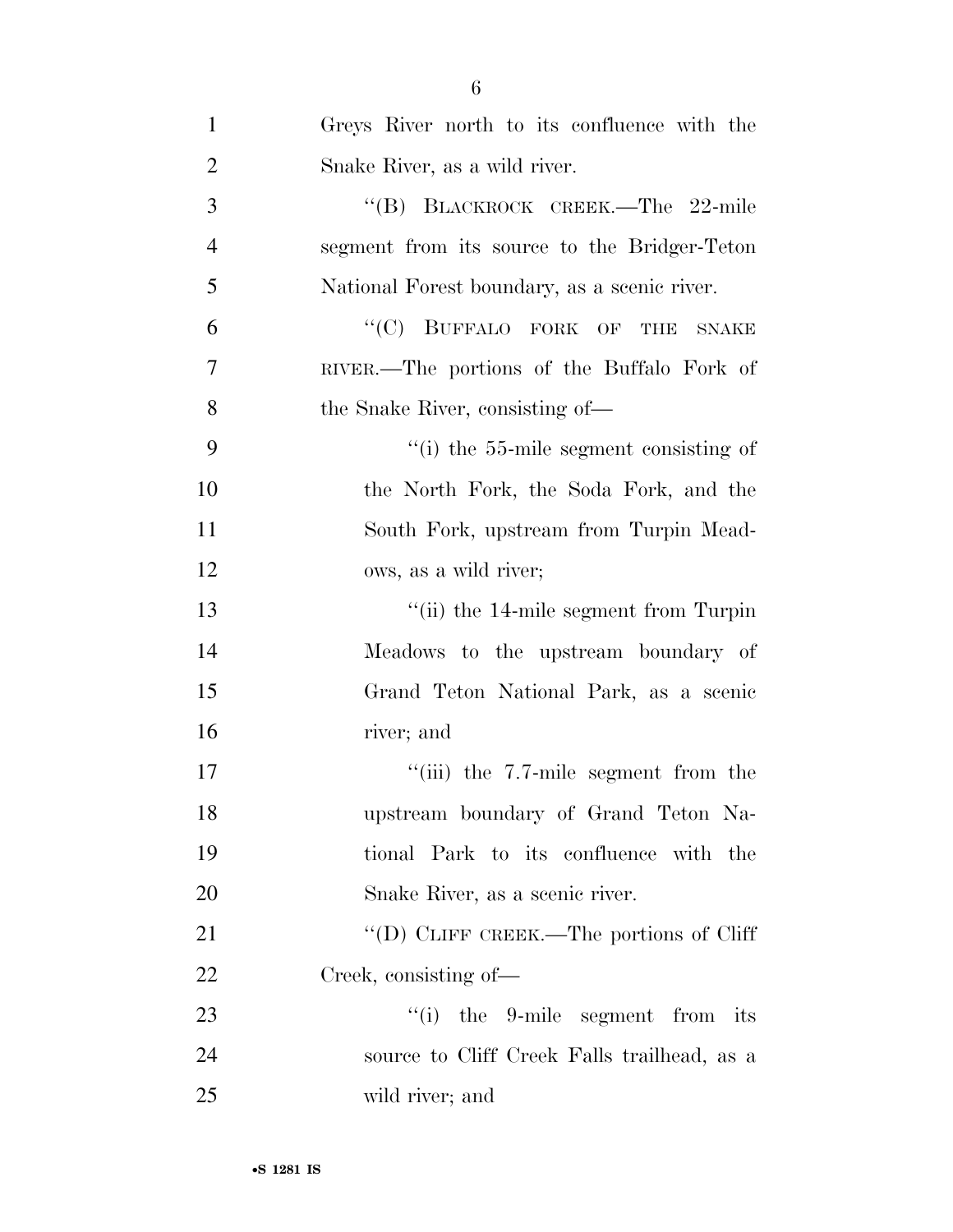| $\mathbf{1}$   | Greys River north to its confluence with the            |
|----------------|---------------------------------------------------------|
| $\overline{2}$ | Snake River, as a wild river.                           |
| 3              | "(B) BLACKROCK CREEK.—The 22-mile                       |
| $\overline{4}$ | segment from its source to the Bridger-Teton            |
| 5              | National Forest boundary, as a scenic river.            |
| 6              | "(C) BUFFALO FORK OF THE<br><b>SNAKE</b>                |
| 7              | RIVER.—The portions of the Buffalo Fork of              |
| 8              | the Snake River, consisting of—                         |
| 9              | $\cdot$ (i) the 55-mile segment consisting of           |
| 10             | the North Fork, the Soda Fork, and the                  |
| 11             | South Fork, upstream from Turpin Mead-                  |
| 12             | ows, as a wild river;                                   |
| 13             | $\lq$ <sup>"</sup> (ii) the 14-mile segment from Turpin |
| 14             | Meadows to the upstream boundary of                     |
| 15             | Grand Teton National Park, as a scenic                  |
| 16             | river; and                                              |
| 17             | $``(iii)$ the 7.7-mile segment from the                 |
| 18             | upstream boundary of Grand Teton Na-                    |
| 19             | tional Park to its confluence with the                  |
| 20             | Snake River, as a scenic river.                         |
| 21             | "(D) CLIFF CREEK.—The portions of Cliff                 |
| 22             | Creek, consisting of—                                   |
| 23             | "(i) the 9-mile segment from its                        |
| 24             | source to Cliff Creek Falls trailhead, as a             |
| 25             | wild river; and                                         |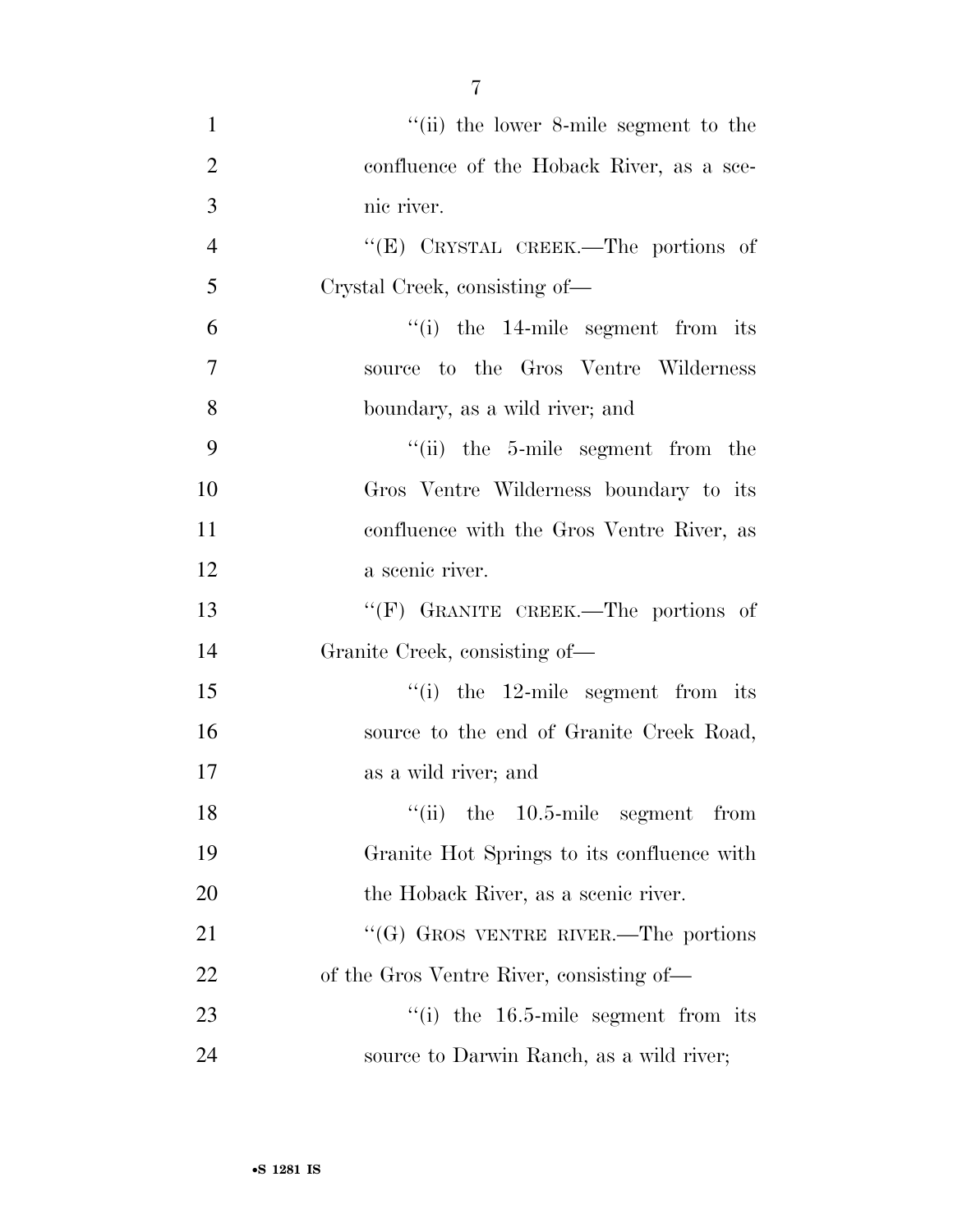1 ''(ii) the lower 8-mile segment to the 2 confluence of the Hoback River, as a sce- nic river. ''(E) CRYSTAL CREEK.—The portions of Crystal Creek, consisting of— ''(i) the 14-mile segment from its source to the Gros Ventre Wilderness boundary, as a wild river; and ''(ii) the 5-mile segment from the Gros Ventre Wilderness boundary to its confluence with the Gros Ventre River, as a scenic river. 13 "'(F) GRANITE CREEK.—The portions of Granite Creek, consisting of— 15 ''(i) the 12-mile segment from its 16 source to the end of Granite Creek Road, as a wild river; and 18 ''(ii) the 10.5-mile segment from Granite Hot Springs to its confluence with 20 the Hoback River, as a scenic river. 21 ""(G) GROS VENTRE RIVER.—The portions of the Gros Ventre River, consisting of—  $\frac{1}{10}$  the 16.5-mile segment from its source to Darwin Ranch, as a wild river;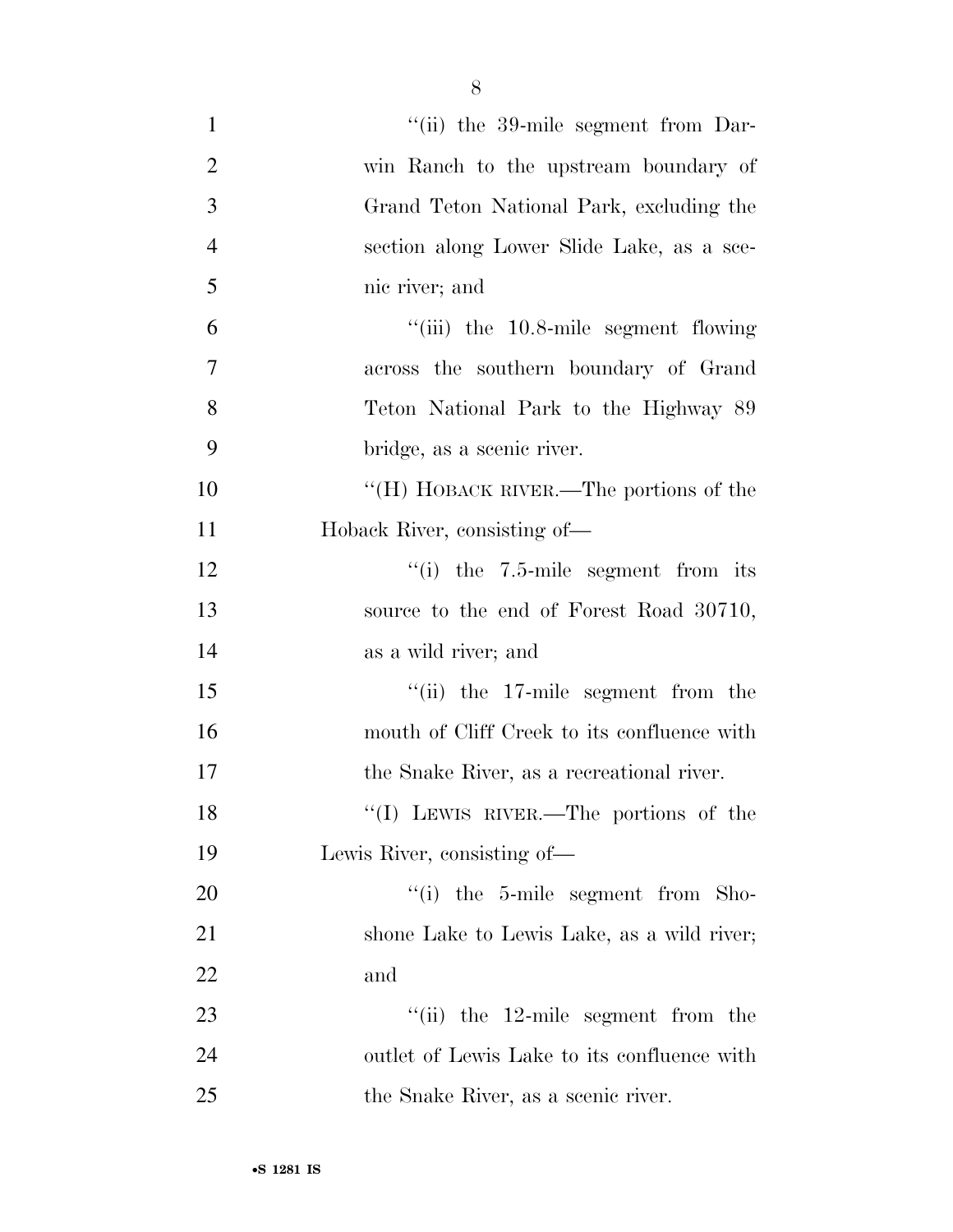| $\mathbf{1}$   | $\lq$ <sup>"</sup> (ii) the 39-mile segment from Dar- |
|----------------|-------------------------------------------------------|
| $\overline{2}$ | win Ranch to the upstream boundary of                 |
| 3              | Grand Teton National Park, excluding the              |
| $\overline{4}$ | section along Lower Slide Lake, as a sce-             |
| 5              | nic river; and                                        |
| 6              | "(iii) the 10.8-mile segment flowing                  |
| $\overline{7}$ | across the southern boundary of Grand                 |
| 8              | Teton National Park to the Highway 89                 |
| 9              | bridge, as a scenic river.                            |
| 10             | "(H) HOBACK RIVER.—The portions of the                |
| 11             | Hoback River, consisting of—                          |
| 12             | "(i) the $7.5$ -mile segment from its                 |
| 13             | source to the end of Forest Road 30710,               |
| 14             | as a wild river; and                                  |
| 15             | $\lq$ (ii) the 17-mile segment from the               |
| 16             | mouth of Cliff Creek to its confluence with           |
| 17             | the Snake River, as a recreational river.             |
| 18             | "(I) LEWIS RIVER.—The portions of the                 |
| 19             | Lewis River, consisting of—                           |
| 20             | "(i) the 5-mile segment from Sho-                     |
| 21             | shone Lake to Lewis Lake, as a wild river;            |
| 22             | and                                                   |
| 23             | $\lq$ (ii) the 12-mile segment from the               |
| 24             | outlet of Lewis Lake to its confluence with           |
| 25             | the Snake River, as a scenic river.                   |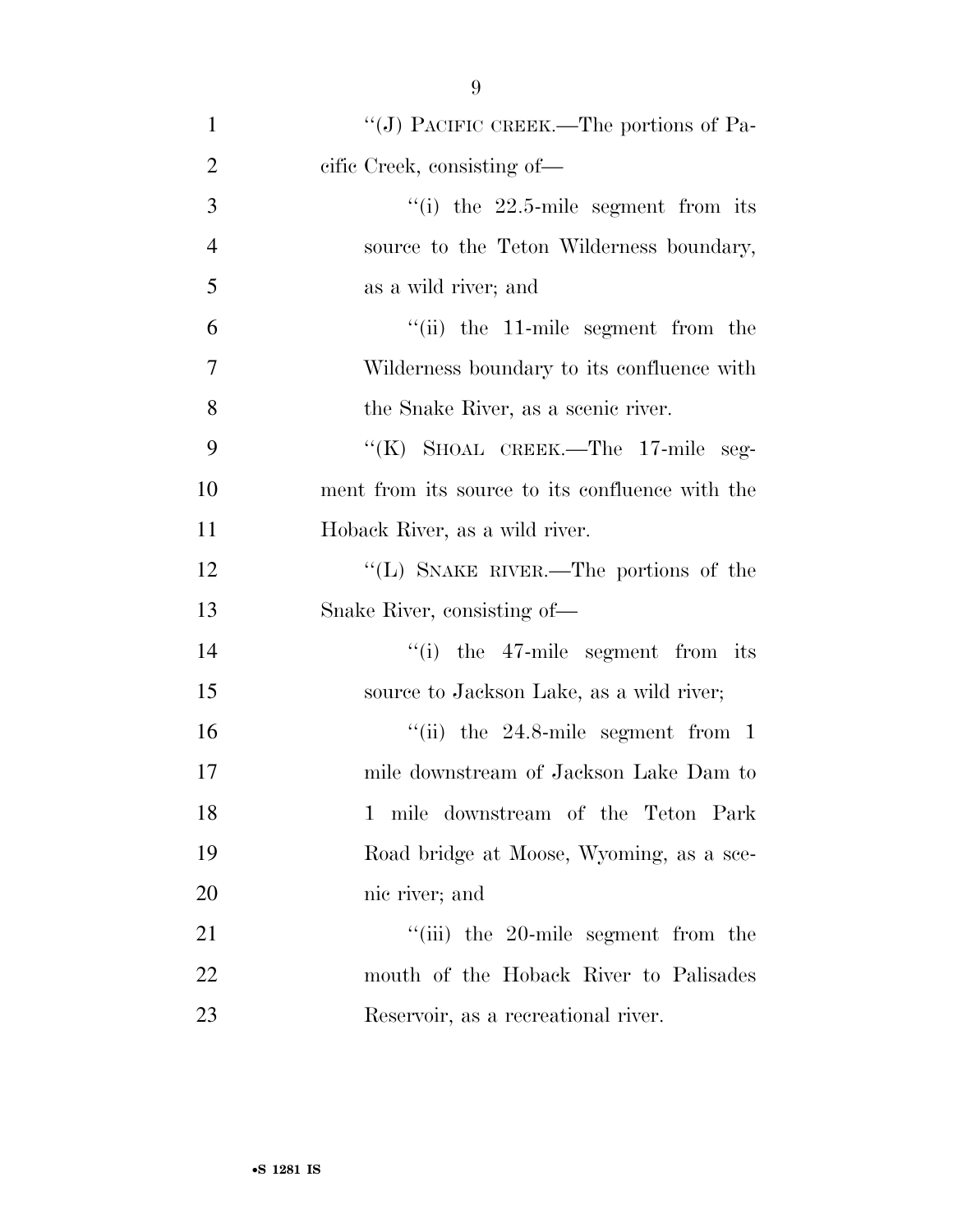| $\mathbf{1}$   | "(J) PACIFIC CREEK.—The portions of Pa-               |
|----------------|-------------------------------------------------------|
| $\overline{2}$ | cific Creek, consisting of—                           |
| 3              | $\lq$ <sup>"</sup> (i) the 22.5-mile segment from its |
| $\overline{4}$ | source to the Teton Wilderness boundary,              |
| 5              | as a wild river; and                                  |
| 6              | $``(ii)$ the 11-mile segment from the                 |
| $\overline{7}$ | Wilderness boundary to its confluence with            |
| 8              | the Snake River, as a scenic river.                   |
| 9              | "(K) SHOAL CREEK.—The 17-mile seg-                    |
| 10             | ment from its source to its confluence with the       |
| 11             | Hoback River, as a wild river.                        |
| 12             | "(L) SNAKE RIVER.—The portions of the                 |
| 13             | Snake River, consisting of—                           |
| 14             | $f(i)$ the 47-mile segment from its                   |
| 15             | source to Jackson Lake, as a wild river;              |
| 16             | "(ii) the $24.8$ -mile segment from 1                 |
| 17             | mile downstream of Jackson Lake Dam to                |
| 18             | 1 mile downstream of the Teton Park                   |
| 19             | Road bridge at Moose, Wyoming, as a sce-              |
| 20             | nic river; and                                        |
| 21             | $``(iii)$ the 20-mile segment from the                |
| 22             | mouth of the Hoback River to Palisades                |
| 23             | Reservoir, as a recreational river.                   |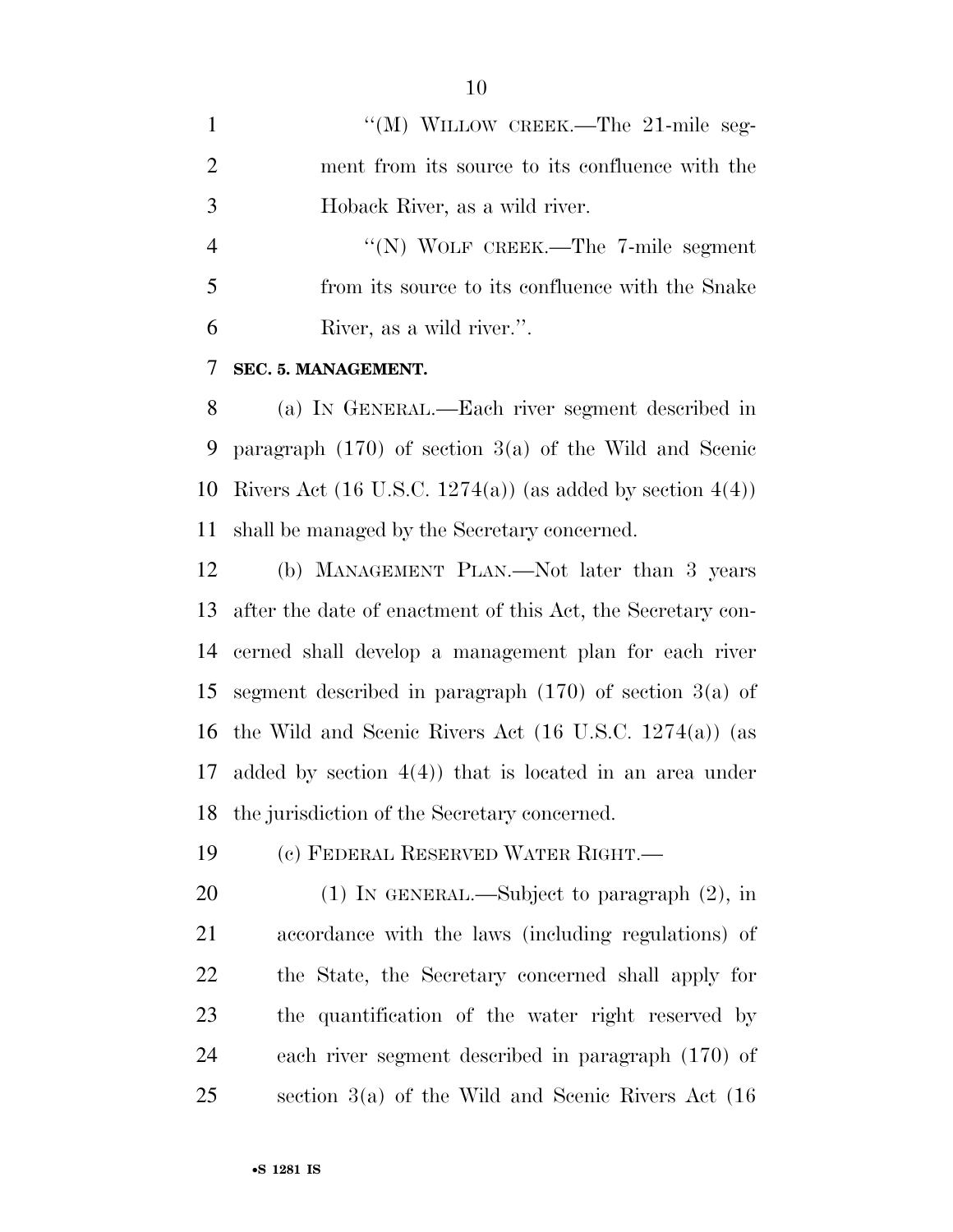1 "(M) WILLOW CREEK.—The 21-mile seg- ment from its source to its confluence with the Hoback River, as a wild river.

4 "(N) WOLF CREEK.—The 7-mile segment from its source to its confluence with the Snake River, as a wild river.''.

#### **SEC. 5. MANAGEMENT.**

 (a) IN GENERAL.—Each river segment described in paragraph (170) of section 3(a) of the Wild and Scenic 10 Rivers Act  $(16 \text{ U.S.C. } 1274(a))$  (as added by section  $4(4)$ ) shall be managed by the Secretary concerned.

 (b) MANAGEMENT PLAN.—Not later than 3 years after the date of enactment of this Act, the Secretary con- cerned shall develop a management plan for each river segment described in paragraph (170) of section 3(a) of the Wild and Scenic Rivers Act (16 U.S.C. 1274(a)) (as added by section 4(4)) that is located in an area under the jurisdiction of the Secretary concerned.

(c) FEDERAL RESERVED WATER RIGHT.—

 (1) IN GENERAL.—Subject to paragraph (2), in accordance with the laws (including regulations) of the State, the Secretary concerned shall apply for the quantification of the water right reserved by each river segment described in paragraph (170) of section 3(a) of the Wild and Scenic Rivers Act (16